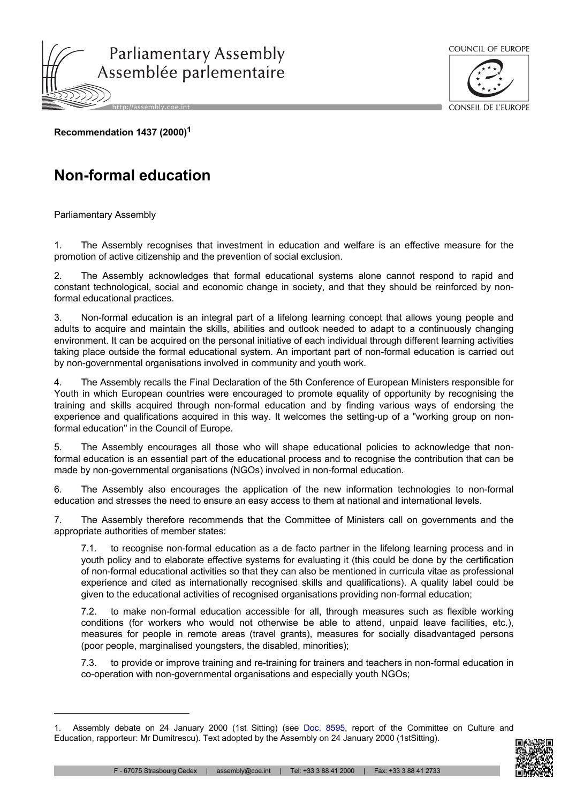



CONSEIL DE L'ELIROPE

**Recommendation 1437 (2000)<sup>1</sup>**

## **Non-formal education**

Parliamentary Assembly

1. The Assembly recognises that investment in education and welfare is an effective measure for the promotion of active citizenship and the prevention of social exclusion.

2. The Assembly acknowledges that formal educational systems alone cannot respond to rapid and constant technological, social and economic change in society, and that they should be reinforced by nonformal educational practices.

3. Non-formal education is an integral part of a lifelong learning concept that allows young people and adults to acquire and maintain the skills, abilities and outlook needed to adapt to a continuously changing environment. It can be acquired on the personal initiative of each individual through different learning activities taking place outside the formal educational system. An important part of non-formal education is carried out by non-governmental organisations involved in community and youth work.

4. The Assembly recalls the Final Declaration of the 5th Conference of European Ministers responsible for Youth in which European countries were encouraged to promote equality of opportunity by recognising the training and skills acquired through non-formal education and by finding various ways of endorsing the experience and qualifications acquired in this way. It welcomes the setting-up of a "working group on nonformal education" in the Council of Europe.

5. The Assembly encourages all those who will shape educational policies to acknowledge that nonformal education is an essential part of the educational process and to recognise the contribution that can be made by non-governmental organisations (NGOs) involved in non-formal education.

6. The Assembly also encourages the application of the new information technologies to non-formal education and stresses the need to ensure an easy access to them at national and international levels.

7. The Assembly therefore recommends that the Committee of Ministers call on governments and the appropriate authorities of member states:

to recognise non-formal education as a de facto partner in the lifelong learning process and in youth policy and to elaborate effective systems for evaluating it (this could be done by the certification of non-formal educational activities so that they can also be mentioned in curricula vitae as professional experience and cited as internationally recognised skills and qualifications). A quality label could be given to the educational activities of recognised organisations providing non-formal education;

7.2. to make non-formal education accessible for all, through measures such as flexible working conditions (for workers who would not otherwise be able to attend, unpaid leave facilities, etc.), measures for people in remote areas (travel grants), measures for socially disadvantaged persons (poor people, marginalised youngsters, the disabled, minorities);

7.3. to provide or improve training and re-training for trainers and teachers in non-formal education in co-operation with non-governmental organisations and especially youth NGOs;

<sup>1.</sup> Assembly debate on 24 January 2000 (1st Sitting) (see Doc. [8595,](http://assembly.coe.int/nw/xml/XRef/Xref-DocDetails-en.asp?FileId=8807) report of the Committee on Culture and Education, rapporteur: Mr Dumitrescu). Text adopted by the Assembly on 24 January 2000 (1stSitting).